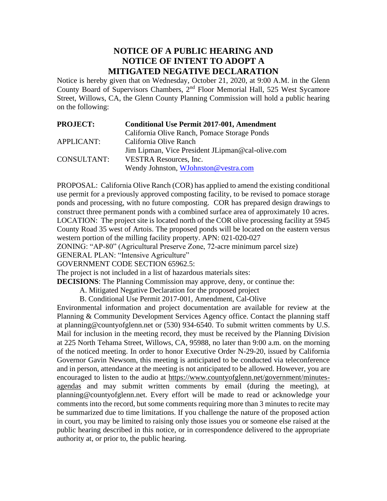## **NOTICE OF A PUBLIC HEARING AND NOTICE OF INTENT TO ADOPT A MITIGATED NEGATIVE DECLARATION**

Notice is hereby given that on Wednesday, October 21, 2020, at 9:00 A.M. in the Glenn County Board of Supervisors Chambers,  $2<sup>nd</sup>$  Floor Memorial Hall, 525 West Sycamore Street, Willows, CA, the Glenn County Planning Commission will hold a public hearing on the following:

| <b>PROJECT:</b>   | <b>Conditional Use Permit 2017-001, Amendment</b> |
|-------------------|---------------------------------------------------|
|                   | California Olive Ranch, Pomace Storage Ponds      |
| <b>APPLICANT:</b> | California Olive Ranch                            |
|                   | Jim Lipman, Vice President JLipman@cal-olive.com  |
| CONSULTANT:       | <b>VESTRA Resources, Inc.</b>                     |
|                   | Wendy Johnston, WJohnston@vestra.com              |

PROPOSAL: California Olive Ranch (COR) has applied to amend the existing conditional use permit for a previously approved composting facility, to be revised to pomace storage ponds and processing, with no future composting. COR has prepared design drawings to construct three permanent ponds with a combined surface area of approximately 10 acres. LOCATION: The project site is located north of the COR olive processing facility at 5945 County Road 35 west of Artois. The proposed ponds will be located on the eastern versus western portion of the milling facility property. APN: 021-020-027

ZONING: "AP-80" (Agricultural Preserve Zone, 72-acre minimum parcel size)

GENERAL PLAN: "Intensive Agriculture"

GOVERNMENT CODE SECTION 65962.5:

The project is not included in a list of hazardous materials sites:

**DECISIONS**: The Planning Commission may approve, deny, or continue the:

- A. Mitigated Negative Declaration for the proposed project
- B. Conditional Use Permit 2017-001, Amendment, Cal-Olive

Environmental information and project documentation are available for review at the Planning & Community Development Services Agency office. Contact the planning staff at planning@countyofglenn.net or (530) 934-6540. To submit written comments by U.S. Mail for inclusion in the meeting record, they must be received by the Planning Division at 225 North Tehama Street, Willows, CA, 95988, no later than 9:00 a.m. on the morning of the noticed meeting. In order to honor Executive Order N-29-20, issued by California Governor Gavin Newsom, this meeting is anticipated to be conducted via teleconference and in person, attendance at the meeting is not anticipated to be allowed. However, you are encouraged to listen to the audio at https://www.countyofglenn.net/government/minutesagendas and may submit written comments by email (during the meeting), at planning@countyofglenn.net. Every effort will be made to read or acknowledge your comments into the record, but some comments requiring more than 3 minutes to recite may be summarized due to time limitations. If you challenge the nature of the proposed action in court, you may be limited to raising only those issues you or someone else raised at the public hearing described in this notice, or in correspondence delivered to the appropriate authority at, or prior to, the public hearing.